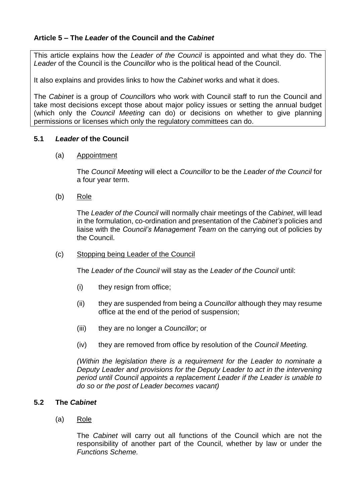# **Article 5 – The** *Leader* **of the Council and the** *Cabinet*

This article explains how the *Leader of the Council* is appointed and what they do. The *Leader* of the Council is the *Councillor* who is the political head of the Council.

It also explains and provides links to how the *Cabinet* works and what it does.

The *Cabinet* is a group of *Councillor*s who work with Council staff to run the Council and take most decisions except those about major policy issues or setting the annual budget (which only the *Council Meeting* can do) or decisions on whether to give planning permissions or licenses which only the regulatory committees can do.

### **5.1** *Leader* **of the Council**

#### (a) Appointment

The *Council Meeting* will elect a *Councillor* to be the *Leader of the Council* for a four year term.

(b) Role

The *Leader of the Council* will normally chair meetings of the *Cabinet*, will lead in the formulation, co-ordination and presentation of the *Cabinet's* policies and liaise with the *Council's Management Team* on the carrying out of policies by the Council.

### (c) Stopping being Leader of the Council

The *Leader of the Council* will stay as the *Leader of the Council* until:

- (i) they resign from office;
- (ii) they are suspended from being a *Councillor* although they may resume office at the end of the period of suspension;
- (iii) they are no longer a *Councillor*; or
- (iv) they are removed from office by resolution of the *Council Meeting.*

*(Within the legislation there is a requirement for the Leader to nominate a Deputy Leader and provisions for the Deputy Leader to act in the intervening period until Council appoints a replacement Leader if the Leader is unable to do so or the post of Leader becomes vacant)*

# **5.2 The** *Cabinet*

(a) Role

The *Cabinet* will carry out all functions of the Council which are not the responsibility of another part of the Council, whether by law or under the *Functions Scheme.*